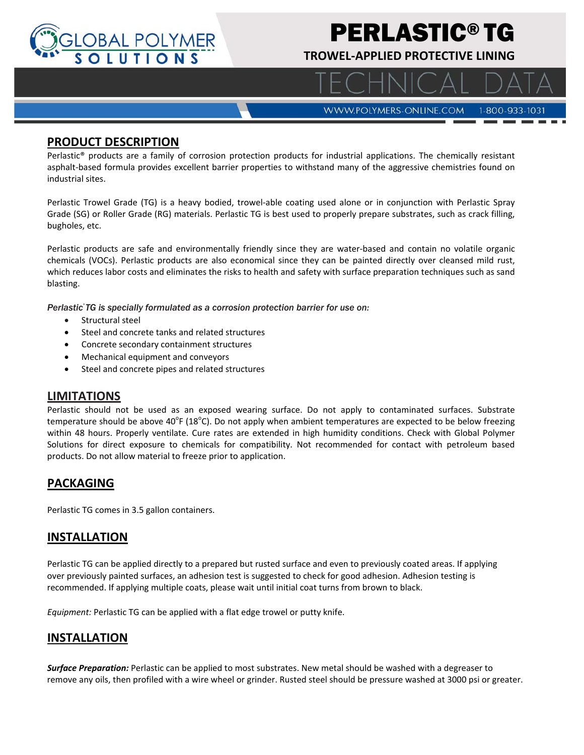

# PERLASTIC® TG

**TROWEL‐APPLIED PROTECTIVE LINING** 

WWW.POLYMERS-ONLINE.COM 1-800-933-1031

#### **PRODUCT DESCRIPTION**

Perlastic® products are a family of corrosion protection products for industrial applications. The chemically resistant asphalt-based formula provides excellent barrier properties to withstand many of the aggressive chemistries found on industrial sites.

Perlastic Trowel Grade (TG) is a heavy bodied, trowel‐able coating used alone or in conjunction with Perlastic Spray Grade (SG) or Roller Grade (RG) materials. Perlastic TG is best used to properly prepare substrates, such as crack filling, bugholes, etc.

Perlastic products are safe and environmentally friendly since they are water‐based and contain no volatile organic chemicals (VOCs). Perlastic products are also economical since they can be painted directly over cleansed mild rust, which reduces labor costs and eliminates the risks to health and safety with surface preparation techniques such as sand blasting.

*Perlastic* TG is specially formulated as a corrosion protection barrier for use on:

- Structural steel
- Steel and concrete tanks and related structures
- Concrete secondary containment structures
- Mechanical equipment and conveyors
- Steel and concrete pipes and related structures

#### **LIMITATIONS**

Perlastic should not be used as an exposed wearing surface. Do not apply to contaminated surfaces. Substrate temperature should be above 40<sup>°</sup>F (18<sup>°</sup>C). Do not apply when ambient temperatures are expected to be below freezing within 48 hours. Properly ventilate. Cure rates are extended in high humidity conditions. Check with Global Polymer Solutions for direct exposure to chemicals for compatibility. Not recommended for contact with petroleum based products. Do not allow material to freeze prior to application.

## **PACKAGING**

Perlastic TG comes in 3.5 gallon containers.

#### **INSTALLATION**

Perlastic TG can be applied directly to a prepared but rusted surface and even to previously coated areas. If applying over previously painted surfaces, an adhesion test is suggested to check for good adhesion. Adhesion testing is recommended. If applying multiple coats, please wait until initial coat turns from brown to black.

*Equipment:* Perlastic TG can be applied with a flat edge trowel or putty knife.

#### **INSTALLATION**

*Surface Preparation:* Perlastic can be applied to most substrates. New metal should be washed with a degreaser to remove any oils, then profiled with a wire wheel or grinder. Rusted steel should be pressure washed at 3000 psi or greater.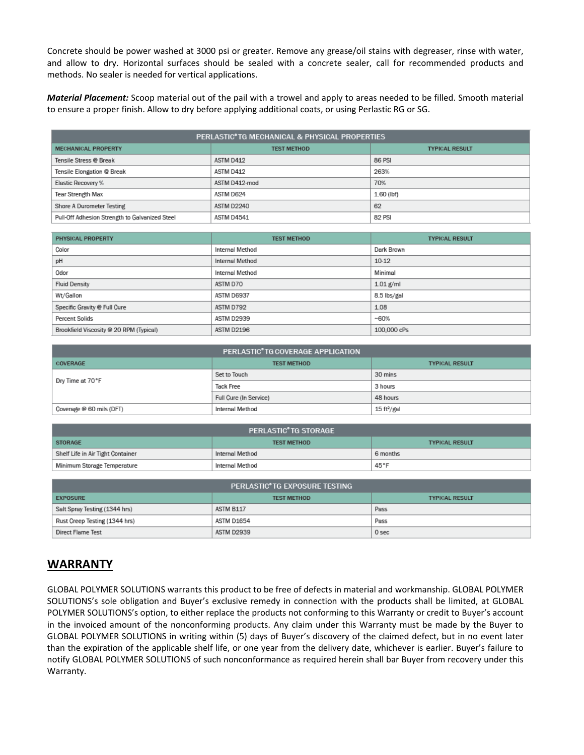Concrete should be power washed at 3000 psi or greater. Remove any grease/oil stains with degreaser, rinse with water, and allow to dry. Horizontal surfaces should be sealed with a concrete sealer, call for recommended products and methods. No sealer is needed for vertical applications.

*Material Placement:* Scoop material out of the pail with a trowel and apply to areas needed to be filled. Smooth material to ensure a proper finish. Allow to dry before applying additional coats, or using Perlastic RG or SG.

| PERLASTIC*TG MECHANICAL & PHYSICAL PROPERTIES  |                    |                       |  |
|------------------------------------------------|--------------------|-----------------------|--|
| <b>MECHANICAL PROPERTY</b>                     | <b>TEST METHOD</b> | <b>TYPICAL RESULT</b> |  |
| Tensile Stress @ Break                         | ASTM D412          | 86 PSI                |  |
| Tensile Elongation @ Break                     | ASTM D412          | 263%                  |  |
| Elastic Recovery %                             | ASTM D412-mod      | 70%                   |  |
| <b>Tear Strength Max</b>                       | ASTM D624          | 1.60 (lbf)            |  |
| Shore A Durometer Testing                      | ASTM D2240         | 62                    |  |
| Pull-Off Adhesion Strength to Galvanized Steel | ASTM D4541         | 82 PSI                |  |

| PHYSICAL PROPERTY                       | <b>TEST METHOD</b> | <b>TYPICAL RESULT</b> |
|-----------------------------------------|--------------------|-----------------------|
| Color                                   | Internal Method    | Dark Brown            |
| pH                                      | Internal Method    | 10-12                 |
| Odor                                    | Internal Method    | Minimal               |
| <b>Fluid Density</b>                    | ASTM D70           | $1.01$ g/ml           |
| Wt/Gallon                               | ASTM D6937         | 8.5 lbs/gal           |
| Specific Gravity @ Full Cure            | ASTM D792          | 1.08                  |
| Percent Solids                          | ASTM D2939         | $-60%$                |
| Brookfield Viscosity @ 20 RPM (Typical) | ASTM D2196         | 100,000 cPs           |

| PERLASTIC <sup>*</sup> TG COVERAGE APPLICATION |                        |                         |  |
|------------------------------------------------|------------------------|-------------------------|--|
| COVERAGE                                       | <b>TEST METHOD</b>     | <b>TYPICAL RESULT</b>   |  |
| Dry Time at 70°F                               | Set to Touch           | 30 mins                 |  |
|                                                | <b>Tack Free</b>       | 3 hours                 |  |
|                                                | Full Cure (In Service) | 48 hours                |  |
| Coverage @ 60 mils (DFT)                       | Internal Method        | 15 ft <sup>2</sup> /gal |  |

| PERLASTIC <sup>®</sup> TG STORAGE |                    |                       |  |
|-----------------------------------|--------------------|-----------------------|--|
| <b>STORAGE</b>                    | <b>TEST METHOD</b> | <b>TYPICAL RESULT</b> |  |
| Shelf Life in Air Tight Container | Internal Method    | 6 months              |  |
| Minimum Storage Temperature       | Internal Method    | 45°F                  |  |

| PERLASTIC*TG EXPOSURE TESTING |                    |                       |  |
|-------------------------------|--------------------|-----------------------|--|
| <b>EXPOSURE</b>               | <b>TEST METHOD</b> | <b>TYPICAL RESULT</b> |  |
| Salt Spray Testing (1344 hrs) | ASTM B117          | Pass                  |  |
| Rust Creep Testing (1344 hrs) | ASTM D1654         | Pass                  |  |
| Direct Flame Test             | ASTM D2939         | 0 sec                 |  |

## **WARRANTY**

GLOBAL POLYMER SOLUTIONS warrants this product to be free of defects in material and workmanship. GLOBAL POLYMER SOLUTIONS's sole obligation and Buyer's exclusive remedy in connection with the products shall be limited, at GLOBAL POLYMER SOLUTIONS's option, to either replace the products not conforming to this Warranty or credit to Buyer's account in the invoiced amount of the nonconforming products. Any claim under this Warranty must be made by the Buyer to GLOBAL POLYMER SOLUTIONS in writing within (5) days of Buyer's discovery of the claimed defect, but in no event later than the expiration of the applicable shelf life, or one year from the delivery date, whichever is earlier. Buyer's failure to notify GLOBAL POLYMER SOLUTIONS of such nonconformance as required herein shall bar Buyer from recovery under this Warranty.